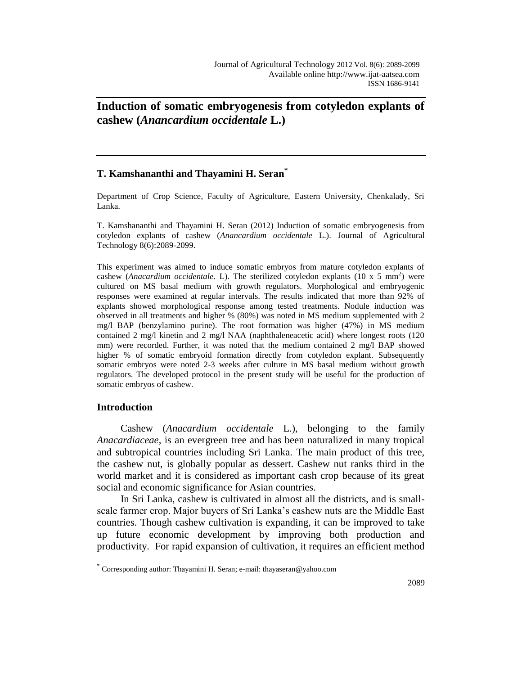**Induction of somatic embryogenesis from cotyledon explants of cashew (***Anancardium occidentale* **L.)**

# **T. Kamshananthi and Thayamini H. Seran\***

Department of Crop Science, Faculty of Agriculture, Eastern University, Chenkalady, Sri Lanka.

T. Kamshananthi and Thayamini H. Seran (2012) Induction of somatic embryogenesis from cotyledon explants of cashew (*Anancardium occidentale* L.). Journal of Agricultural Technology 8(6):2089-2099.

This experiment was aimed to induce somatic embryos from mature cotyledon explants of cashew (*Anacardium occidentale*. L). The sterilized cotyledon explants  $(10 \times 5 \text{ mm}^2)$  were cultured on MS basal medium with growth regulators. Morphological and embryogenic responses were examined at regular intervals. The results indicated that more than 92% of explants showed morphological response among tested treatments. Nodule induction was observed in all treatments and higher % (80%) was noted in MS medium supplemented with 2 mg/l BAP (benzylamino purine). The root formation was higher (47%) in MS medium contained 2 mg/l kinetin and 2 mg/l NAA (naphthaleneacetic acid) where longest roots (120 mm) were recorded. Further, it was noted that the medium contained 2 mg/l BAP showed higher % of somatic embryoid formation directly from cotyledon explant. Subsequently somatic embryos were noted 2-3 weeks after culture in MS basal medium without growth regulators. The developed protocol in the present study will be useful for the production of somatic embryos of cashew.

# **Introduction**

 $\overline{a}$ 

Cashew (*Anacardium occidentale* L.), belonging to the family *Anacardiaceae*, is an evergreen tree and has been naturalized in many tropical and subtropical countries including Sri Lanka. The main product of this tree, the cashew nut, is globally popular as dessert. Cashew nut ranks third in the world market and it is considered as important cash crop because of its great social and economic significance for Asian countries.

In Sri Lanka, cashew is cultivated in almost all the districts, and is smallscale farmer crop. Major buyers of Sri Lanka's cashew nuts are the Middle East countries. Though cashew cultivation is expanding, it can be improved to take up future economic development by improving both production and productivity. For rapid expansion of cultivation, it requires an efficient method

<sup>\*</sup> Corresponding author: Thayamini H. Seran; e-mail: thayaseran@yahoo.com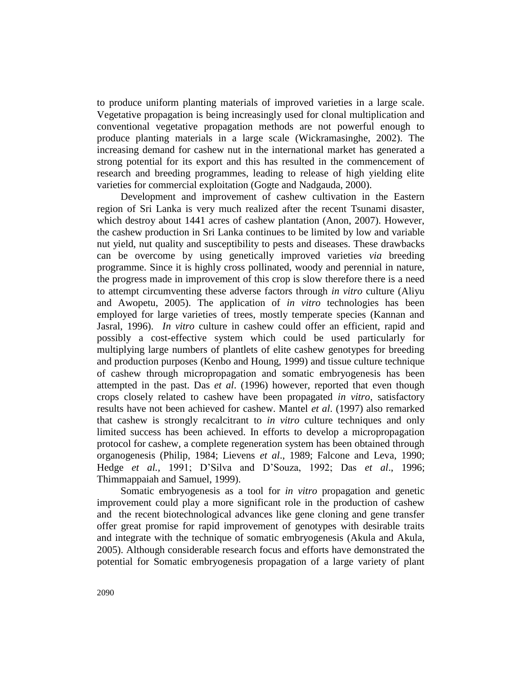to produce uniform planting materials of improved varieties in a large scale. Vegetative propagation is being increasingly used for clonal multiplication and conventional vegetative propagation methods are not powerful enough to produce planting materials in a large scale (Wickramasinghe, 2002). The increasing demand for cashew nut in the international market has generated a strong potential for its export and this has resulted in the commencement of research and breeding programmes, leading to release of high yielding elite varieties for commercial exploitation (Gogte and Nadgauda, 2000).

Development and improvement of cashew cultivation in the Eastern region of Sri Lanka is very much realized after the recent Tsunami disaster, which destroy about 1441 acres of cashew plantation (Anon, 2007). However, the cashew production in Sri Lanka continues to be limited by low and variable nut yield, nut quality and susceptibility to pests and diseases. These drawbacks can be overcome by using genetically improved varieties *via* breeding programme. Since it is highly cross pollinated, woody and perennial in nature, the progress made in improvement of this crop is slow therefore there is a need to attempt circumventing these adverse factors through *in vitro* culture (Aliyu and Awopetu, 2005). The application of *in vitro* technologies has been employed for large varieties of trees, mostly temperate species (Kannan and Jasral, 1996). *In vitro* culture in cashew could offer an efficient, rapid and possibly a cost-effective system which could be used particularly for multiplying large numbers of plantlets of elite cashew genotypes for breeding and production purposes (Kenbo and Houng, 1999) and tissue culture technique of cashew through micropropagation and somatic embryogenesis has been attempted in the past. Das *et al*. (1996) however, reported that even though crops closely related to cashew have been propagated *in vitro*, satisfactory results have not been achieved for cashew. Mantel *et al*. (1997) also remarked that cashew is strongly recalcitrant to *in vitro* culture techniques and only limited success has been achieved. In efforts to develop a micropropagation protocol for cashew, a complete regeneration system has been obtained through organogenesis (Philip, 1984; Lievens *et al*., 1989; Falcone and Leva, 1990; Hedge *et al.,* 1991; D'Silva and D'Souza, 1992; Das *et al*., 1996; Thimmappaiah and Samuel, 1999).

Somatic embryogenesis as a tool for *in vitro* propagation and genetic improvement could play a more significant role in the production of cashew and the recent biotechnological advances like gene cloning and gene transfer offer great promise for rapid improvement of genotypes with desirable traits and integrate with the technique of somatic embryogenesis (Akula and Akula, 2005). Although considerable research focus and efforts have demonstrated the potential for Somatic embryogenesis propagation of a large variety of plant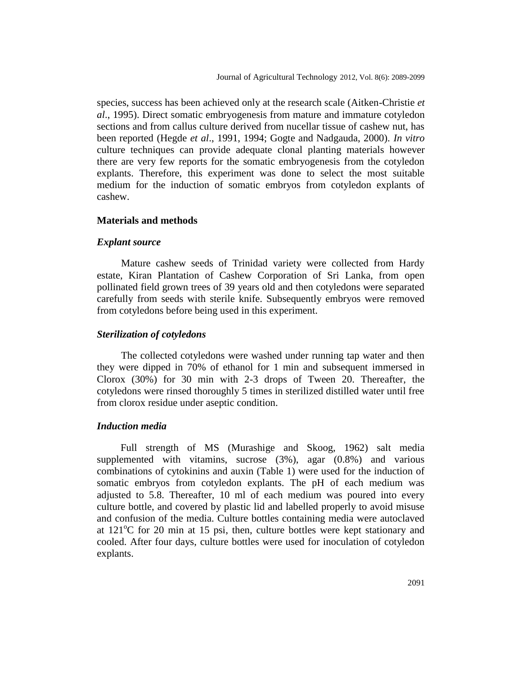species, success has been achieved only at the research scale (Aitken-Christie *et al*., 1995). Direct somatic embryogenesis from mature and immature cotyledon sections and from callus culture derived from nucellar tissue of cashew nut, has been reported (Hegde *et al*., 1991, 1994; Gogte and Nadgauda, 2000). *In vitro* culture techniques can provide adequate clonal planting materials however there are very few reports for the somatic embryogenesis from the cotyledon explants. Therefore, this experiment was done to select the most suitable medium for the induction of somatic embryos from cotyledon explants of cashew.

### **Materials and methods**

### *Explant source*

Mature cashew seeds of Trinidad variety were collected from Hardy estate, Kiran Plantation of Cashew Corporation of Sri Lanka, from open pollinated field grown trees of 39 years old and then cotyledons were separated carefully from seeds with sterile knife. Subsequently embryos were removed from cotyledons before being used in this experiment.

### *Sterilization of cotyledons*

The collected cotyledons were washed under running tap water and then they were dipped in 70% of ethanol for 1 min and subsequent immersed in Clorox (30%) for 30 min with 2-3 drops of Tween 20. Thereafter, the cotyledons were rinsed thoroughly 5 times in sterilized distilled water until free from clorox residue under aseptic condition.

### *Induction media*

Full strength of MS (Murashige and Skoog, 1962) salt media supplemented with vitamins, sucrose (3%), agar (0.8%) and various combinations of cytokinins and auxin (Table 1) were used for the induction of somatic embryos from cotyledon explants. The pH of each medium was adjusted to 5.8. Thereafter, 10 ml of each medium was poured into every culture bottle, and covered by plastic lid and labelled properly to avoid misuse and confusion of the media. Culture bottles containing media were autoclaved at  $121^{\circ}$ C for 20 min at 15 psi, then, culture bottles were kept stationary and cooled. After four days, culture bottles were used for inoculation of cotyledon explants.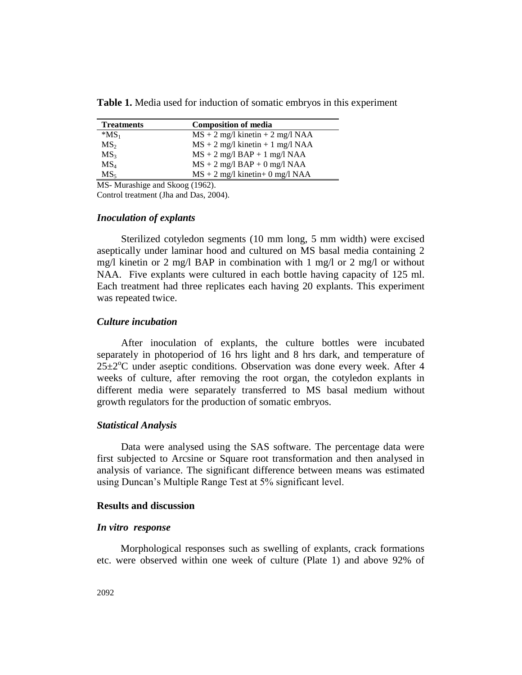**Table 1.** Media used for induction of somatic embryos in this experiment

| <b>Treatments</b> | <b>Composition of media</b>        |
|-------------------|------------------------------------|
| $*MS_1$           | $MS + 2$ mg/l kinetin + 2 mg/l NAA |
| MS <sub>2</sub>   | $MS + 2$ mg/l kinetin + 1 mg/l NAA |
| MS <sub>3</sub>   | $MS + 2$ mg/l $BAP + 1$ mg/l NAA   |
| MS <sub>4</sub>   | $MS + 2$ mg/l $BAP + 0$ mg/l NAA   |
| MS <sub>5</sub>   | $MS + 2$ mg/l kinetin+ 0 mg/l NAA  |

MS- Murashige and Skoog (1962).

Control treatment (Jha and Das, 2004).

#### *Inoculation of explants*

Sterilized cotyledon segments (10 mm long, 5 mm width) were excised aseptically under laminar hood and cultured on MS basal media containing 2 mg/l kinetin or 2 mg/l BAP in combination with 1 mg/l or 2 mg/l or without NAA. Five explants were cultured in each bottle having capacity of 125 ml. Each treatment had three replicates each having 20 explants. This experiment was repeated twice.

# *Culture incubation*

After inoculation of explants, the culture bottles were incubated separately in photoperiod of 16 hrs light and 8 hrs dark, and temperature of  $25\pm2\degree$ C under aseptic conditions. Observation was done every week. After 4 weeks of culture, after removing the root organ, the cotyledon explants in different media were separately transferred to MS basal medium without growth regulators for the production of somatic embryos.

### *Statistical Analysis*

Data were analysed using the SAS software. The percentage data were first subjected to Arcsine or Square root transformation and then analysed in analysis of variance. The significant difference between means was estimated using Duncan's Multiple Range Test at 5% significant level.

### **Results and discussion**

### *In vitro response*

Morphological responses such as swelling of explants, crack formations etc. were observed within one week of culture (Plate 1) and above 92% of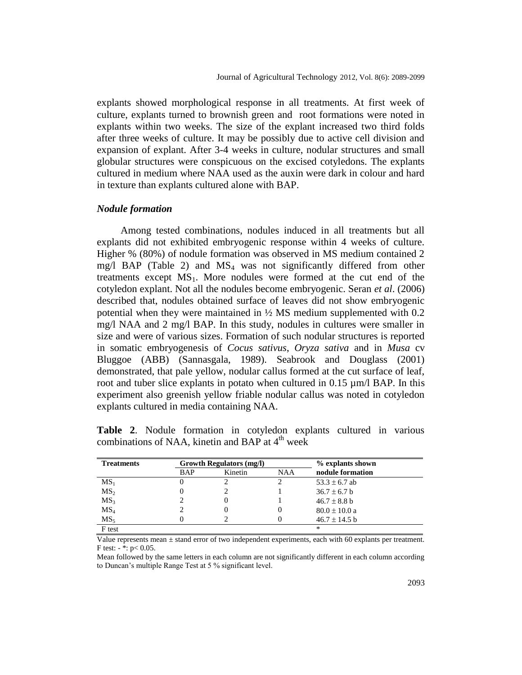explants showed morphological response in all treatments. At first week of culture, explants turned to brownish green and root formations were noted in explants within two weeks. The size of the explant increased two third folds after three weeks of culture. It may be possibly due to active cell division and expansion of explant. After 3-4 weeks in culture, nodular structures and small globular structures were conspicuous on the excised cotyledons. The explants cultured in medium where NAA used as the auxin were dark in colour and hard in texture than explants cultured alone with BAP.

## *Nodule formation*

Among tested combinations, nodules induced in all treatments but all explants did not exhibited embryogenic response within 4 weeks of culture. Higher % (80%) of nodule formation was observed in MS medium contained 2  $mg/l$  BAP (Table 2) and  $MS<sub>4</sub>$  was not significantly differed from other treatments except  $MS_1$ . More nodules were formed at the cut end of the cotyledon explant. Not all the nodules become embryogenic. Seran *et al*. (2006) described that, nodules obtained surface of leaves did not show embryogenic potential when they were maintained in  $\frac{1}{2}$  MS medium supplemented with 0.2 mg/l NAA and 2 mg/l BAP. In this study, nodules in cultures were smaller in size and were of various sizes. Formation of such nodular structures is reported in somatic embryogenesis of *Cocus sativus*, *Oryza sativa* and in *Musa* cv Bluggoe (ABB) (Sannasgala, 1989). Seabrook and Douglass (2001) demonstrated, that pale yellow, nodular callus formed at the cut surface of leaf, root and tuber slice explants in potato when cultured in  $0.15 \mu m/l$  BAP. In this experiment also greenish yellow friable nodular callus was noted in cotyledon explants cultured in media containing NAA.

|  |  | Table 2. Nodule formation in cotyledon explants cultured in various |  |  |
|--|--|---------------------------------------------------------------------|--|--|
|  |  | combinations of NAA, kinetin and BAP at 4 <sup>th</sup> week        |  |  |

| <b>Treatments</b> | <b>Growth Regulators (mg/l)</b> |         |            | % explants shown  |
|-------------------|---------------------------------|---------|------------|-------------------|
|                   | BAP                             | Kinetin | <b>NAA</b> | nodule formation  |
| $MS_1$            |                                 |         |            | $53.3 \pm 6.7$ ab |
| MS <sub>2</sub>   |                                 |         |            | $36.7 \pm 6.7$ b  |
| MS <sub>3</sub>   |                                 |         |            | $46.7 \pm 8.8$ b  |
| MS <sub>4</sub>   |                                 |         |            | $80.0 \pm 10.0$ a |
| $MS_5$            |                                 |         |            | $46.7 \pm 14.5$ b |
| F test            |                                 |         |            | $\ast$            |

Value represents mean  $\pm$  stand error of two independent experiments, each with 60 explants per treatment. F test:  $-\frac{1}{2}$ : p< 0.05.

Mean followed by the same letters in each column are not significantly different in each column according to Duncan's multiple Range Test at 5 % significant level.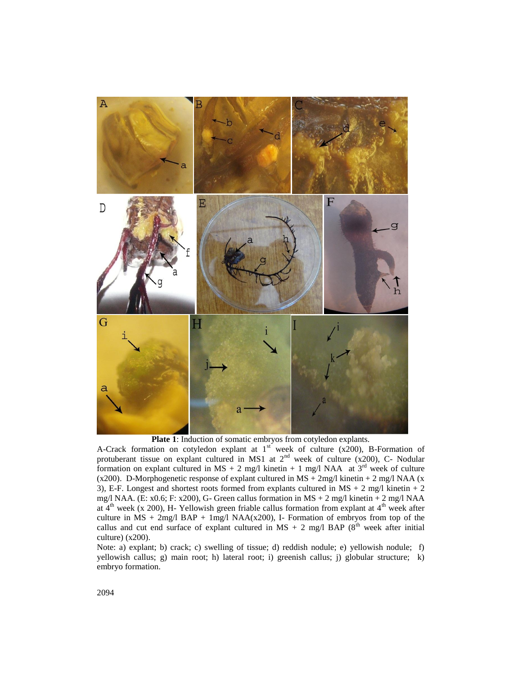

**Plate 1**: Induction of somatic embryos from cotyledon explants.

A-Crack formation on cotyledon explant at  $1<sup>st</sup>$  week of culture (x200), B-Formation of protuberant tissue on explant cultured in MS1 at  $2<sup>nd</sup>$  week of culture (x200), C- Nodular formation on explant cultured in MS + 2 mg/l kinetin + 1 mg/l NAA at  $3<sup>rd</sup>$  week of culture (x200). D-Morphogenetic response of explant cultured in MS + 2mg/l kinetin + 2 mg/l NAA (x 3), E-F. Longest and shortest roots formed from explants cultured in  $MS + 2$  mg/l kinetin + 2 mg/l NAA. (E: x0.6; F: x200), G- Green callus formation in  $MS + 2$  mg/l kinetin + 2 mg/l NAA at  $4<sup>th</sup>$  week (x 200), H-Yellowish green friable callus formation from explant at  $4<sup>th</sup>$  week after culture in  $MS + 2mg/1 BAP + 1mg/1 NAA(x200)$ , I- Formation of embryos from top of the callus and cut end surface of explant cultured in MS + 2 mg/l BAP ( $8<sup>th</sup>$  week after initial culture) (x200).

Note: a) explant; b) crack; c) swelling of tissue; d) reddish nodule; e) yellowish nodule; f) yellowish callus; g) main root; h) lateral root; i) greenish callus; j) globular structure; k) embryo formation.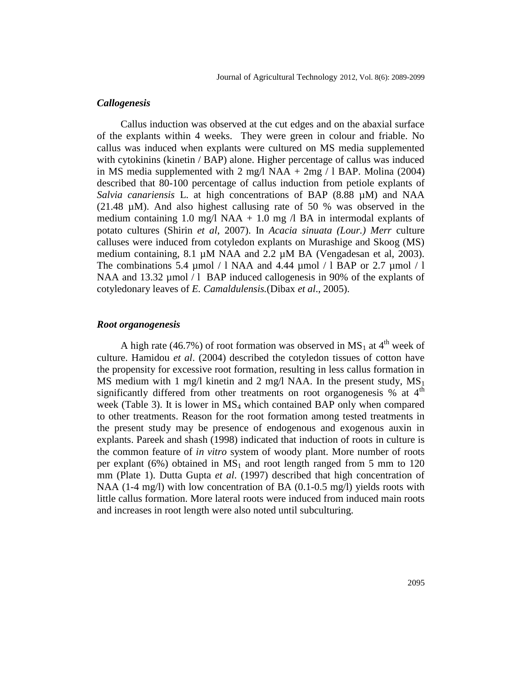## *Callogenesis*

Callus induction was observed at the cut edges and on the abaxial surface of the explants within 4 weeks. They were green in colour and friable. No callus was induced when explants were cultured on MS media supplemented with cytokinins (kinetin / BAP) alone. Higher percentage of callus was induced in MS media supplemented with  $2 \text{ mg}/1 \text{ NAA} + 2 \text{ mg}/1 \text{ BAP}$ . Molina (2004) described that 80-100 percentage of callus induction from petiole explants of *Salvia canariensis* L. at high concentrations of BAP (8.88 µM) and NAA (21.48 µM). And also highest callusing rate of 50 % was observed in the medium containing 1.0 mg/l NAA + 1.0 mg  $\alpha$  BA in intermodal explants of potato cultures (Shirin *et al*, 2007). In *Acacia sinuata (Lour.) Merr* culture calluses were induced from cotyledon explants on Murashige and Skoog (MS) medium containing, 8.1 µM NAA and 2.2 µM BA (Vengadesan et al, 2003). The combinations 5.4 µmol  $/1$  NAA and 4.44 µmol  $/1$  BAP or 2.7 µmol  $/1$ NAA and 13.32  $\mu$ mol / l BAP induced callogenesis in 90% of the explants of cotyledonary leaves of *E. Camaldulensis.*(Dibax *et al*., 2005).

### *Root organogenesis*

A high rate (46.7%) of root formation was observed in  $MS_1$  at 4<sup>th</sup> week of culture. Hamidou *et al*. (2004) described the cotyledon tissues of cotton have the propensity for excessive root formation, resulting in less callus formation in MS medium with 1 mg/l kinetin and 2 mg/l NAA. In the present study,  $MS_1$ significantly differed from other treatments on root organogenesis % at 4<sup>th</sup> week (Table 3). It is lower in  $MS<sub>4</sub>$  which contained BAP only when compared to other treatments. Reason for the root formation among tested treatments in the present study may be presence of endogenous and exogenous auxin in explants. Pareek and shash (1998) indicated that induction of roots in culture is the common feature of *in vitro* system of woody plant. More number of roots per explant (6%) obtained in  $MS_1$  and root length ranged from 5 mm to 120 mm (Plate 1). Dutta Gupta *et al*. (1997) described that high concentration of NAA  $(1-4 \text{ mg/l})$  with low concentration of BA  $(0.1-0.5 \text{ mg/l})$  yields roots with little callus formation. More lateral roots were induced from induced main roots and increases in root length were also noted until subculturing.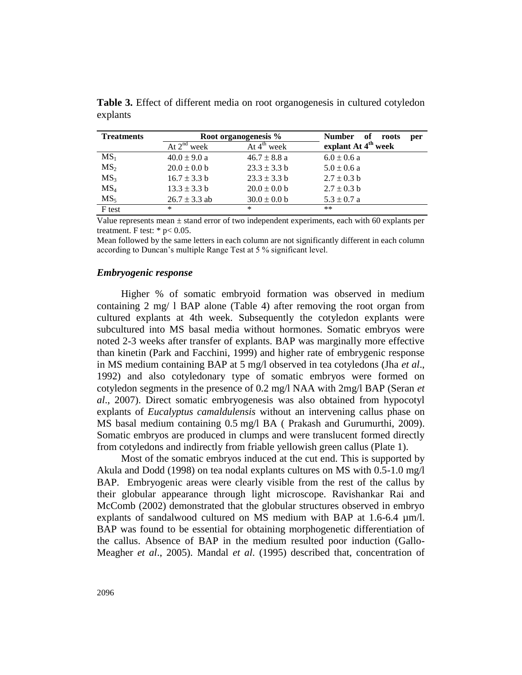| <b>Treatments</b> |                   | Root organogenesis %    | <b>Number</b><br>of<br>roots<br>per |
|-------------------|-------------------|-------------------------|-------------------------------------|
|                   | At $2^{nd}$ week  | At $4^{\text{th}}$ week | explant At 4 <sup>th</sup> week     |
| $MS_1$            | $40.0 \pm 9.0 a$  | $46.7 \pm 8.8$ a        | $6.0 \pm 0.6$ a                     |
| MS <sub>2</sub>   | $20.0 \pm 0.0 b$  | $23.3 \pm 3.3 b$        | $5.0 \pm 0.6$ a                     |
| MS <sub>3</sub>   | $16.7 \pm 3.3$ b  | $23.3 \pm 3.3 b$        | $2.7 \pm 0.3$ b                     |
| MS <sub>4</sub>   | $13.3 \pm 3.3 b$  | $20.0 \pm 0.0 b$        | $2.7 \pm 0.3$ b                     |
| MS <sub>5</sub>   | $26.7 \pm 3.3$ ab | $30.0 \pm 0.0 b$        | $5.3 \pm 0.7$ a                     |
| F test            | *                 | ∗                       | $***$                               |

**Table 3.** Effect of different media on root organogenesis in cultured cotyledon explants

Value represents mean  $\pm$  stand error of two independent experiments, each with 60 explants per treatment. F test:  $*$  p $< 0.05$ .

Mean followed by the same letters in each column are not significantly different in each column according to Duncan's multiple Range Test at 5 % significant level.

#### *Embryogenic response*

Higher % of somatic embryoid formation was observed in medium containing 2 mg/ l BAP alone (Table 4) after removing the root organ from cultured explants at 4th week. Subsequently the cotyledon explants were subcultured into MS basal media without hormones. Somatic embryos were noted 2-3 weeks after transfer of explants. BAP was marginally more effective than kinetin (Park and Facchini, 1999) and higher rate of embrygenic response in MS medium containing BAP at 5 mg/l observed in tea cotyledons (Jha *et al*., 1992) and also cotyledonary type of somatic embryos were formed on cotyledon segments in the presence of 0.2 mg/l NAA with 2mg/l BAP (Seran *et al*., 2007). Direct somatic embryogenesis was also obtained from hypocotyl explants of *Eucalyptus camaldulensis* without an intervening callus phase on MS basal medium containing 0.5 mg/l BA ( [Prakash](http://www.springerlink.com/content/?Author=M.+G.+Prakash) and [Gurumurthi,](http://www.springerlink.com/content/?Author=K.+Gurumurthi) 2009). Somatic embryos are produced in clumps and were translucent formed directly from cotyledons and indirectly from friable yellowish green callus (Plate 1).

Most of the somatic embryos induced at the cut end. This is supported by Akula and Dodd (1998) on tea nodal explants cultures on MS with 0.5-1.0 mg/l BAP. Embryogenic areas were clearly visible from the rest of the callus by their globular appearance through light microscope. Ravishankar Rai and McComb (2002) demonstrated that the globular structures observed in embryo explants of sandalwood cultured on MS medium with BAP at 1.6-6.4 µm/l. BAP was found to be essential for obtaining morphogenetic differentiation of the callus. Absence of BAP in the medium resulted poor induction (Gallo-Meagher *et al*., 2005). Mandal *et al*. (1995) described that, concentration of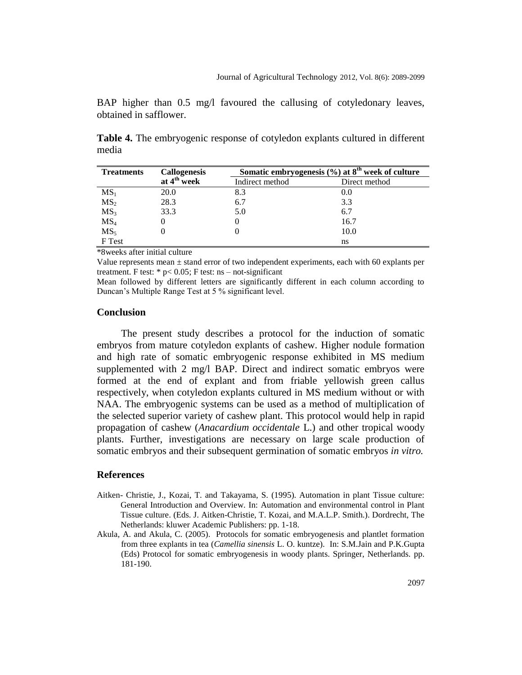BAP higher than 0.5 mg/l favoured the callusing of cotyledonary leaves, obtained in safflower.

**Table 4.** The embryogenic response of cotyledon explants cultured in different media

| <b>Treatments</b> | <b>Callogenesis</b>     | Somatic embryogenesis (%) at 8 <sup>th</sup> week of culture |               |  |
|-------------------|-------------------------|--------------------------------------------------------------|---------------|--|
|                   | at 4 <sup>th</sup> week | Indirect method                                              | Direct method |  |
| $MS_1$            | 20.0                    | 8.3                                                          | 0.0           |  |
| MS <sub>2</sub>   | 28.3                    | 6.7                                                          | 3.3           |  |
| MS <sub>3</sub>   | 33.3                    | 5.0                                                          | 6.7           |  |
| MS <sub>4</sub>   |                         |                                                              | 16.7          |  |
| MS <sub>5</sub>   |                         |                                                              | 10.0          |  |
| F Test            |                         |                                                              | ns            |  |

\*8weeks after initial culture

Value represents mean  $\pm$  stand error of two independent experiments, each with 60 explants per treatment. F test:  $* p < 0.05$ ; F test: ns – not-significant

Mean followed by different letters are significantly different in each column according to Duncan's Multiple Range Test at 5 % significant level.

# **Conclusion**

The present study describes a protocol for the induction of somatic embryos from mature cotyledon explants of cashew. Higher nodule formation and high rate of somatic embryogenic response exhibited in MS medium supplemented with 2 mg/l BAP. Direct and indirect somatic embryos were formed at the end of explant and from friable yellowish green callus respectively, when cotyledon explants cultured in MS medium without or with NAA. The embryogenic systems can be used as a method of multiplication of the selected superior variety of cashew plant. This protocol would help in rapid propagation of cashew (*Anacardium occidentale* L.) and other tropical woody plants. Further, investigations are necessary on large scale production of somatic embryos and their subsequent germination of somatic embryos *in vitro.*

#### **References**

- Aitken- Christie, J., Kozai, T. and Takayama, S. (1995). Automation in plant Tissue culture: General Introduction and Overview. In: Automation and environmental control in Plant Tissue culture. (Eds. J. Aitken-Christie, T. Kozai, and M.A.L.P. Smith.). Dordrecht, The Netherlands: kluwer Academic Publishers: pp. 1-18.
- Akula, A. and Akula, C. (2005). Protocols for somatic embryogenesis and plantlet formation from three explants in tea (*Camellia sinensis* L. O. kuntze). In: S.M.Jain and P.K.Gupta (Eds) Protocol for somatic embryogenesis in woody plants. Springer, Netherlands. pp. 181-190.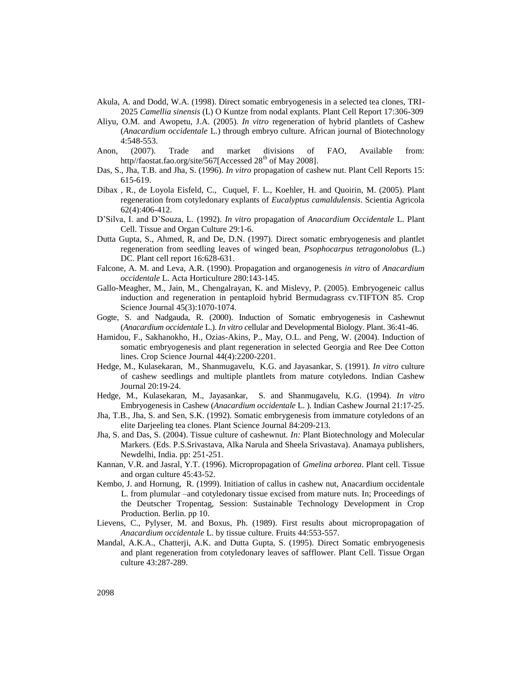- Akula, A. and Dodd, W.A. (1998). Direct somatic embryogenesis in a selected tea clones, TRI-2025 *Camellia sinensis* (L) O Kuntze from nodal explants. Plant Cell Report 17:306-309
- Aliyu, O.M. and Awopetu, J.A. (2005). *In vitro* regeneration of hybrid plantlets of Cashew (*Anacardium occidentale* L.) through embryo culture. African journal of Biotechnology 4:548-553.
- Anon, (2007). Trade and market divisions of FAO, Available from: http//faostat.fao.org/site/567[Accessed  $28<sup>th</sup>$  of May 2008].
- Das, S., Jha, T.B. and Jha, S. (1996). *In vitro* propagation of cashew nut. Plant Cell Reports 15: 615-619.
- Dibax , R., de Loyola Eisfeld, C., Cuquel, F. L., Koehler, H. and Quoirin, M. (2005). Plant regeneration from cotyledonary explants of *Eucalyptus camaldulensis*. Scientia Agricola 62(4):406-412.
- D'Silva, I. and D'Souza, L. (1992). *In vitro* propagation of *Anacardium Occidentale* L. Plant Cell. Tissue and Organ Culture 29:1-6.
- Dutta Gupta, S., Ahmed, R, and De, D.N. (1997). Direct somatic embryogenesis and plantlet regeneration from seedling leaves of winged bean, *Psophocarpus tetragonolobus* (L.) DC. Plant cell report 16:628-631.
- Falcone, A. M. and Leva, A.R. (1990). Propagation and organogenesis *in vitro* of *Anacardium occidentale* L. Acta Horticulture 280:143-145.
- Gallo-Meagher, M., Jain, M., Chengalrayan, K. and Mislevy, P. (2005). Embryogeneic callus induction and regeneration in pentaploid hybrid Bermudagrass cv.TIFTON 85. Crop Science Journal 45(3):1070-1074.
- Gogte, S. and Nadgauda, R. (2000). Induction of Somatic embryogenesis in Cashewnut (*Anacardium occidentale* L.). *In vitro c*ellular and Developmental Biology. Plant. 36:41-46.
- Hamidou, F., Sakhanokho, H., Ozias-Akins, P., May, O.L. and Peng, W. (2004). Induction of somatic embryogenesis and plant regeneration in selected Georgia and Ree Dee Cotton lines. Crop Science Journal 44(4):2200-2201.
- Hedge, M., Kulasekaran, M., Shanmugavelu, K.G. and Jayasankar, S. (1991). *In vitro* culture of cashew seedlings and multiple plantlets from mature cotyledons. Indian Cashew Journal 20:19-24.
- Hedge, M., Kulasekaran, M., Jayasankar, S. and Shanmugavelu, K.G. (1994). *In vitro*  Embryogenesis in Cashew (*Anacardium occidentale* L. ). Indian Cashew Journal 21:17-25.
- Jha, T.B., Jha, S. and Sen, S.K. (1992). Somatic embrygenesis from immature cotyledons of an elite Darjeeling tea clones. Plant Science Journal 84:209-213.
- Jha, S. and Das, S. (2004). Tissue culture of cashewnut. *In:* Plant Biotechnology and Molecular Markers*.* (Eds. P.S.Srivastava, Alka Narula and Sheela Srivastava). Anamaya publishers, Newdelhi, India. pp: 251-251.
- Kannan, V.R. and Jasral, Y.T. (1996). Micropropagation of *Gmelina arborea*. Plant cell. Tissue and organ culture 45:43-52.
- Kembo, J. and Hornung, R. (1999). Initiation of callus in cashew nut, Anacardium occidentale L. from plumular –and cotyledonary tissue excised from mature nuts. In; Proceedings of the Deutscher Tropentag, Session: Sustainable Technology Development in Crop Production. Berlin. pp 10.
- Lievens, C., Pylyser, M. and Boxus, Ph. (1989). First results about micropropagation of *Anacardium occidentale* L. by tissue culture. Fruits 44:553-557.
- Mandal, A.K.A., Chatterji, A.K. and Dutta Gupta, S. (1995). Direct Somatic embryogenesis and plant regeneration from cotyledonary leaves of safflower. Plant Cell. Tissue Organ culture 43:287-289.